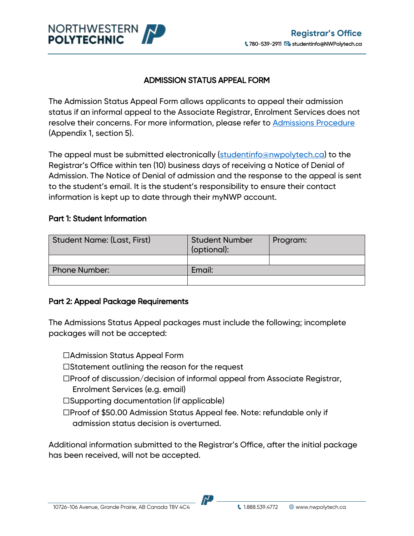

## ADMISSION STATUS APPEAL FORM

The Admission Status Appeal Form allows applicants to appeal their admission status if an informal appeal to the Associate Registrar, Enrolment Services does not resolve their concerns. For more information, please refer to [Admissions Procedure](https://www.gprc.ab.ca/about/administration/policies/fetch.php?ID=7) (Appendix 1, section 5).

The appeal must be submitted electronically [\(studentinfo@nwpolytech.ca\)](mailto:studentinfo@nwpolytech.ca) to the Registrar's Office within ten (10) business days of receiving a Notice of Denial of Admission. The Notice of Denial of admission and the response to the appeal is sent to the student's email. It is the student's responsibility to ensure their contact information is kept up to date through their myNWP account.

### Part 1: Student Information

| <b>Student Name: (Last, First)</b> | <b>Student Number</b><br>(optional): | Program: |
|------------------------------------|--------------------------------------|----------|
|                                    |                                      |          |
| <b>Phone Number:</b>               | Email:                               |          |
|                                    |                                      |          |

### Part 2: Appeal Package Requirements

The Admissions Status Appeal packages must include the following; incomplete packages will not be accepted:

- ☐Admission Status Appeal Form
- ☐Statement outlining the reason for the request
- ☐Proof of discussion/decision of informal appeal from Associate Registrar, Enrolment Services (e.g. email)
- ☐Supporting documentation (if applicable)
- ☐Proof of \$50.00 Admission Status Appeal fee. Note: refundable only if admission status decision is overturned.

Additional information submitted to the Registrar's Office, after the initial package has been received, will not be accepted.